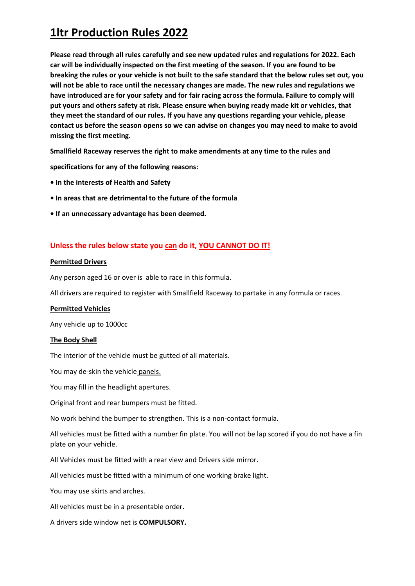**Please read through all rules carefully and see new updated rules and regulations for 2022. Each car will be individually inspected on the first meeting of the season. If you are found to be breaking the rules or your vehicle is not built to the safe standard that the below rules set out, you will not be able to race until the necessary changes are made. The new rules and regulations we have introduced are for your safety and for fair racing across the formula. Failure to comply will put yours and others safety at risk. Please ensure when buying ready made kit or vehicles, that they meet the standard of our rules. If you have any questions regarding your vehicle, please contact us before the season opens so we can advise on changes you may need to make to avoid missing the first meeting.**

**Smallfield Raceway reserves the right to make amendments at any time to the rules and** 

**specifications for any of the following reasons:** 

- **In the interests of Health and Safety**
- **In areas that are detrimental to the future of the formula**
- **If an unnecessary advantage has been deemed.**

### **Unless the rules below state you can do it, YOU CANNOT DO IT!**

### **Permitted Drivers**

Any person aged 16 or over is able to race in this formula.

All drivers are required to register with Smallfield Raceway to partake in any formula or races.

#### **Permitted Vehicles**

Any vehicle up to 1000cc

#### **The Body Shell**

The interior of the vehicle must be gutted of all materials.

You may de-skin the vehicle panels.

You may fill in the headlight apertures.

Original front and rear bumpers must be fitted.

No work behind the bumper to strengthen. This is a non-contact formula.

All vehicles must be fitted with a number fin plate. You will not be lap scored if you do not have a fin plate on your vehicle.

All Vehicles must be fitted with a rear view and Drivers side mirror.

All vehicles must be fitted with a minimum of one working brake light.

You may use skirts and arches.

All vehicles must be in a presentable order.

A drivers side window net is **COMPULSORY.**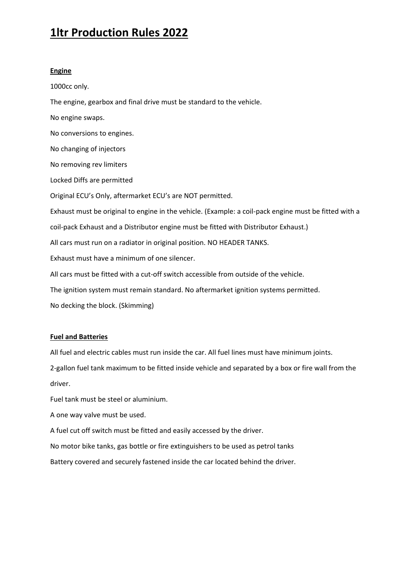### **Engine**

1000cc only.

The engine, gearbox and final drive must be standard to the vehicle.

No engine swaps. No conversions to engines. No changing of injectors No removing rev limiters Locked Diffs are permitted Original ECU's Only, aftermarket ECU's are NOT permitted. Exhaust must be original to engine in the vehicle. (Example: a coil-pack engine must be fitted with a coil-pack Exhaust and a Distributor engine must be fitted with Distributor Exhaust.) All cars must run on a radiator in original position. NO HEADER TANKS. Exhaust must have a minimum of one silencer. All cars must be fitted with a cut-off switch accessible from outside of the vehicle. The ignition system must remain standard. No aftermarket ignition systems permitted. No decking the block. (Skimming)

#### **Fuel and Batteries**

All fuel and electric cables must run inside the car. All fuel lines must have minimum joints.

2-gallon fuel tank maximum to be fitted inside vehicle and separated by a box or fire wall from the driver.

Fuel tank must be steel or aluminium.

A one way valve must be used.

A fuel cut off switch must be fitted and easily accessed by the driver.

No motor bike tanks, gas bottle or fire extinguishers to be used as petrol tanks

Battery covered and securely fastened inside the car located behind the driver.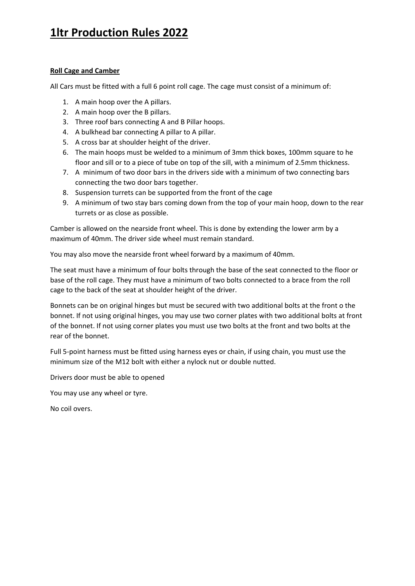### **Roll Cage and Camber**

All Cars must be fitted with a full 6 point roll cage. The cage must consist of a minimum of:

- 1. A main hoop over the A pillars.
- 2. A main hoop over the B pillars.
- 3. Three roof bars connecting A and B Pillar hoops.
- 4. A bulkhead bar connecting A pillar to A pillar.
- 5. A cross bar at shoulder height of the driver.
- 6. The main hoops must be welded to a minimum of 3mm thick boxes, 100mm square to he floor and sill or to a piece of tube on top of the sill, with a minimum of 2.5mm thickness.
- 7. A minimum of two door bars in the drivers side with a minimum of two connecting bars connecting the two door bars together.
- 8. Suspension turrets can be supported from the front of the cage
- 9. A minimum of two stay bars coming down from the top of your main hoop, down to the rear turrets or as close as possible.

Camber is allowed on the nearside front wheel. This is done by extending the lower arm by a maximum of 40mm. The driver side wheel must remain standard.

You may also move the nearside front wheel forward by a maximum of 40mm.

The seat must have a minimum of four bolts through the base of the seat connected to the floor or base of the roll cage. They must have a minimum of two bolts connected to a brace from the roll cage to the back of the seat at shoulder height of the driver.

Bonnets can be on original hinges but must be secured with two additional bolts at the front o the bonnet. If not using original hinges, you may use two corner plates with two additional bolts at front of the bonnet. If not using corner plates you must use two bolts at the front and two bolts at the rear of the bonnet.

Full 5-point harness must be fitted using harness eyes or chain, if using chain, you must use the minimum size of the M12 bolt with either a nylock nut or double nutted.

Drivers door must be able to opened

You may use any wheel or tyre.

No coil overs.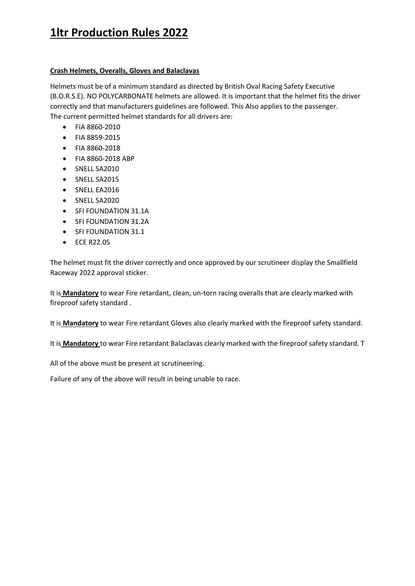### **Crash Helmets, Overalls, Gloves and Balaclavas**

Helmets must be of a minimum standard as directed by British Oval Racing Safety Executive (B.O.R.S.E). NO POLYCARBONATE helmets are allowed. It is important that the helmet fits the driver correctly and that manufacturers guidelines are followed. This Also applies to the passenger. The current permitted helmet standards for all drivers are:

- FIA 8860-2010
- FIA 8859-2015
- FIA 8860-2018
- FIA 8860-2018 ABP
- SNELL SA2010
- SNELL SA2015
- SNELL EA2016
- SNELL SA2020
- SFI FOUNDATION 31.1A
- SFI FOUNDATION 31.2A
- SFI FOUNDATION 31.1
- ECE R22.05

The helmet must fit the driver correctly and once approved by our scrutineer display the Smallfield Raceway 2022 approval sticker.

It is **Mandatory** to wear Fire retardant, clean, un-torn racing overalls that are clearly marked with fireproof safety standard .

It is **Mandatory** to wear Fire retardant Gloves also clearly marked with the fireproof safety standard.

It is **Mandatory** to wear Fire retardant Balaclavas clearly marked with the fireproof safety standard. T

All of the above must be present at scrutineering.

Failure of any of the above will result in being unable to race.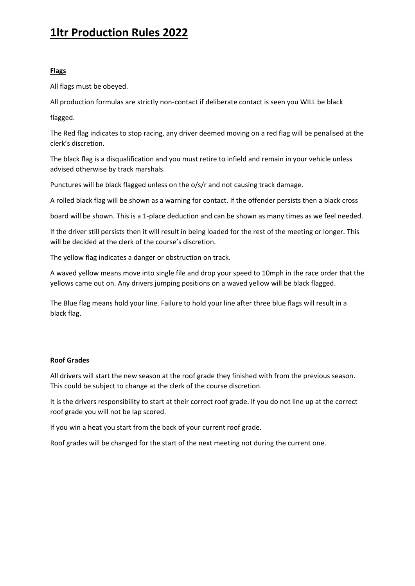### **Flags**

All flags must be obeyed.

All production formulas are strictly non-contact if deliberate contact is seen you WILL be black

flagged.

The Red flag indicates to stop racing, any driver deemed moving on a red flag will be penalised at the clerk's discretion.

The black flag is a disqualification and you must retire to infield and remain in your vehicle unless advised otherwise by track marshals.

Punctures will be black flagged unless on the o/s/r and not causing track damage.

A rolled black flag will be shown as a warning for contact. If the offender persists then a black cross

board will be shown. This is a 1-place deduction and can be shown as many times as we feel needed.

If the driver still persists then it will result in being loaded for the rest of the meeting or longer. This will be decided at the clerk of the course's discretion.

The yellow flag indicates a danger or obstruction on track.

A waved yellow means move into single file and drop your speed to 10mph in the race order that the yellows came out on. Any drivers jumping positions on a waved yellow will be black flagged.

The Blue flag means hold your line. Failure to hold your line after three blue flags will result in a black flag.

### **Roof Grades**

All drivers will start the new season at the roof grade they finished with from the previous season. This could be subject to change at the clerk of the course discretion.

It is the drivers responsibility to start at their correct roof grade. If you do not line up at the correct roof grade you will not be lap scored.

If you win a heat you start from the back of your current roof grade.

Roof grades will be changed for the start of the next meeting not during the current one.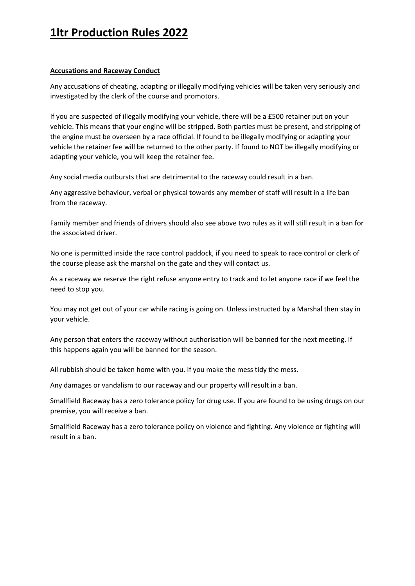### **Accusations and Raceway Conduct**

Any accusations of cheating, adapting or illegally modifying vehicles will be taken very seriously and investigated by the clerk of the course and promotors.

If you are suspected of illegally modifying your vehicle, there will be a £500 retainer put on your vehicle. This means that your engine will be stripped. Both parties must be present, and stripping of the engine must be overseen by a race official. If found to be illegally modifying or adapting your vehicle the retainer fee will be returned to the other party. If found to NOT be illegally modifying or adapting your vehicle, you will keep the retainer fee.

Any social media outbursts that are detrimental to the raceway could result in a ban.

Any aggressive behaviour, verbal or physical towards any member of staff will result in a life ban from the raceway.

Family member and friends of drivers should also see above two rules as it will still result in a ban for the associated driver.

No one is permitted inside the race control paddock, if you need to speak to race control or clerk of the course please ask the marshal on the gate and they will contact us.

As a raceway we reserve the right refuse anyone entry to track and to let anyone race if we feel the need to stop you.

You may not get out of your car while racing is going on. Unless instructed by a Marshal then stay in your vehicle.

Any person that enters the raceway without authorisation will be banned for the next meeting. If this happens again you will be banned for the season.

All rubbish should be taken home with you. If you make the mess tidy the mess.

Any damages or vandalism to our raceway and our property will result in a ban.

Smallfield Raceway has a zero tolerance policy for drug use. If you are found to be using drugs on our premise, you will receive a ban.

Smallfield Raceway has a zero tolerance policy on violence and fighting. Any violence or fighting will result in a ban.